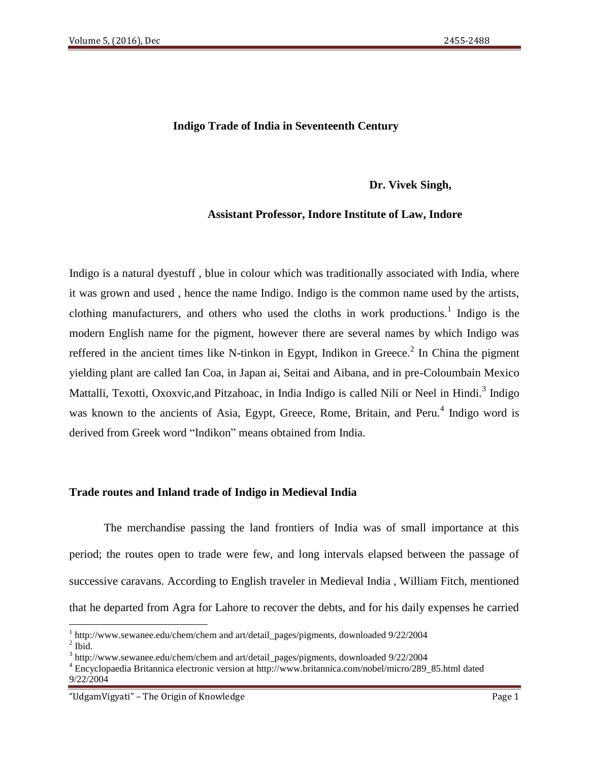## **Indigo Trade of India in Seventeenth Century**

## **Dr. Vivek Singh,**

### **Assistant Professor, Indore Institute of Law, Indore**

Indigo is a natural dyestuff , blue in colour which was traditionally associated with India, where it was grown and used , hence the name Indigo. Indigo is the common name used by the artists, clothing manufacturers, and others who used the cloths in work productions.<sup>1</sup> Indigo is the modern English name for the pigment, however there are several names by which Indigo was reffered in the ancient times like N-tinkon in Egypt, Indikon in Greece.<sup>2</sup> In China the pigment yielding plant are called Ian Coa, in Japan ai, Seitai and Aibana, and in pre-Coloumbain Mexico Mattalli, Texotti, Oxoxvic, and Pitzahoac, in India Indigo is called Nili or Neel in Hindi.<sup>3</sup> Indigo was known to the ancients of Asia, Egypt, Greece, Rome, Britain, and Peru.<sup>4</sup> Indigo word is derived from Greek word "Indikon" means obtained from India.

#### **Trade routes and Inland trade of Indigo in Medieval India**

The merchandise passing the land frontiers of India was of small importance at this period; the routes open to trade were few, and long intervals elapsed between the passage of successive caravans. According to English traveler in Medieval India , William Fitch, mentioned that he departed from Agra for Lahore to recover the debts, and for his daily expenses he carried

<sup>&</sup>lt;sup>1</sup> <http://www.sewanee.edu/chem/chem> and art/detail\_pages/pigments, downloaded 9/22/2004  $<sup>2</sup>$  Ibid.</sup>

<sup>&</sup>lt;sup>3</sup> <http://www.sewanee.edu/chem/chem> and art/detail\_pages/pigments, downloaded 9/22/2004

<sup>4</sup> Encyclopaedia Britannica electronic version at [http://www.britannica.com/nobel/micro/289\\_85.html](http://www.britannica.com/nobel/micro/289_85.html) dated 9/22/2004

<sup>&</sup>quot;UdgamVigyati" – The Origin of Knowledge Page 1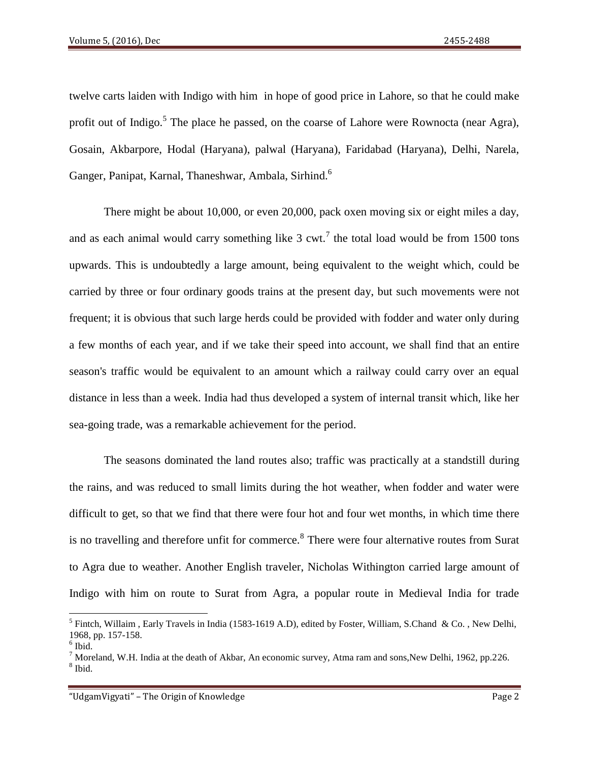twelve carts laiden with Indigo with him in hope of good price in Lahore, so that he could make profit out of Indigo.<sup>5</sup> The place he passed, on the coarse of Lahore were Rownocta (near Agra), Gosain, Akbarpore, Hodal (Haryana), palwal (Haryana), Faridabad (Haryana), Delhi, Narela, Ganger, Panipat, Karnal, Thaneshwar, Ambala, Sirhind.<sup>6</sup>

There might be about 10,000, or even 20,000, pack oxen moving six or eight miles a day, and as each animal would carry something like  $3 \text{ cut.}^7$  the total load would be from 1500 tons upwards. This is undoubtedly a large amount, being equivalent to the weight which, could be carried by three or four ordinary goods trains at the present day, but such movements were not frequent; it is obvious that such large herds could be provided with fodder and water only during a few months of each year, and if we take their speed into account, we shall find that an entire season's traffic would be equivalent to an amount which a railway could carry over an equal distance in less than a week. India had thus developed a system of internal transit which, like her sea-going trade, was a remarkable achievement for the period.

The seasons dominated the land routes also; traffic was practically at a standstill during the rains, and was reduced to small limits during the hot weather, when fodder and water were difficult to get, so that we find that there were four hot and four wet months, in which time there is no travelling and therefore unfit for commerce.<sup>8</sup> There were four alternative routes from Surat to Agra due to weather. Another English traveler, Nicholas Withington carried large amount of Indigo with him on route to Surat from Agra, a popular route in Medieval India for trade

<sup>&</sup>lt;sup>5</sup> Fintch, Willaim, Early Travels in India (1583-1619 A.D), edited by Foster, William, S.Chand & Co., New Delhi, 1968, pp. 157-158.

<sup>6</sup> Ibid.

 $^7$  Moreland, W.H. India at the death of Akbar, An economic survey, Atma ram and sons, New Delhi, 1962, pp.226. 8 Ibid.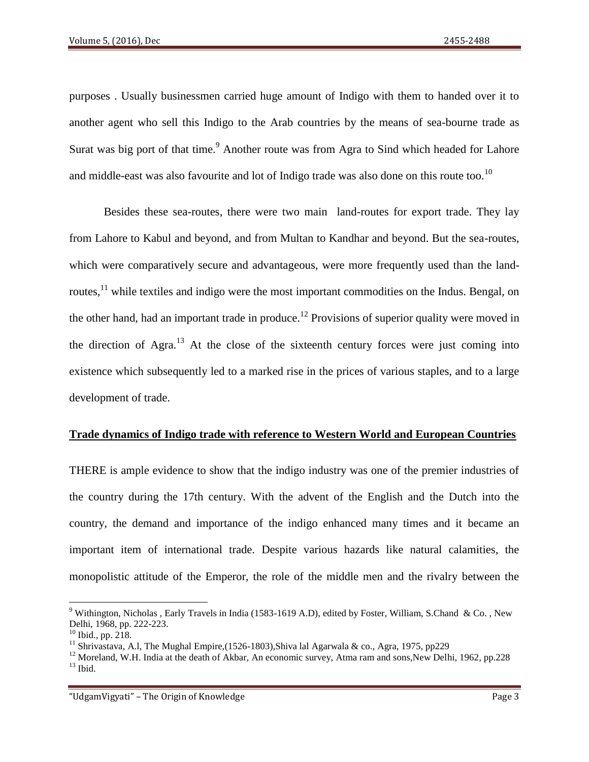purposes . Usually businessmen carried huge amount of Indigo with them to handed over it to another agent who sell this Indigo to the Arab countries by the means of sea-bourne trade as Surat was big port of that time.<sup>9</sup> Another route was from Agra to Sind which headed for Lahore and middle-east was also favourite and lot of Indigo trade was also done on this route too.<sup>10</sup>

Besides these sea-routes, there were two main land-routes for export trade. They lay from Lahore to Kabul and beyond, and from Multan to Kandhar and beyond. But the sea-routes, which were comparatively secure and advantageous, were more frequently used than the landroutes, $<sup>11</sup>$  while textiles and indigo were the most important commodities on the Indus. Bengal, on</sup> the other hand, had an important trade in produce.<sup>12</sup> Provisions of superior quality were moved in the direction of Agra.<sup>13</sup> At the close of the sixteenth century forces were just coming into existence which subsequently led to a marked rise in the prices of various staples, and to a large development of trade.

## **Trade dynamics of Indigo trade with reference to Western World and European Countries**

THERE is ample evidence to show that the indigo industry was one of the premier industries of the country during the 17th century. With the advent of the English and the Dutch into the country, the demand and importance of the indigo enhanced many times and it became an important item of international trade. Despite various hazards like natural calamities, the monopolistic attitude of the Emperor, the role of the middle men and the rivalry between the

 $\overline{a}$ 

<sup>&</sup>lt;sup>9</sup> Withington, Nicholas , Early Travels in India (1583-1619 A.D), edited by Foster, William, S.Chand & Co., New Delhi, 1968, pp. 222-223.

<sup>10</sup> Ibid., pp. 218.

<sup>&</sup>lt;sup>11</sup> Shrivastava, A.l, The Mughal Empire,(1526-1803), Shiva lal Agarwala & co., Agra, 1975, pp229

<sup>&</sup>lt;sup>12</sup> Moreland, W.H. India at the death of Akbar, An economic survey, Atma ram and sons,New Delhi, 1962, pp.228  $^{13}$  Ibid.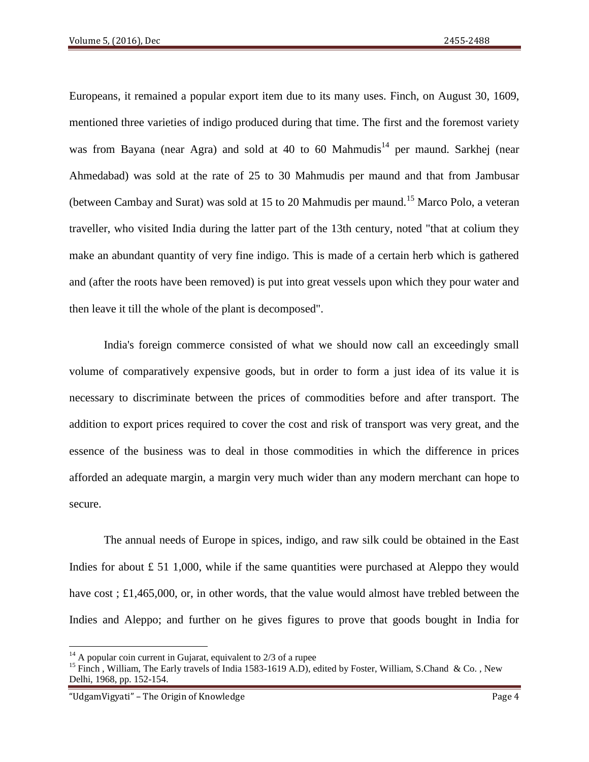Europeans, it remained a popular export item due to its many uses. Finch, on August 30, 1609, mentioned three varieties of indigo produced during that time. The first and the foremost variety was from Bayana (near Agra) and sold at 40 to 60 Mahmudis<sup>14</sup> per maund. Sarkhej (near Ahmedabad) was sold at the rate of 25 to 30 Mahmudis per maund and that from Jambusar (between Cambay and Surat) was sold at 15 to 20 Mahmudis per maund.<sup>15</sup> Marco Polo, a veteran traveller, who visited India during the latter part of the 13th century, noted "that at colium they make an abundant quantity of very fine indigo. This is made of a certain herb which is gathered and (after the roots have been removed) is put into great vessels upon which they pour water and then leave it till the whole of the plant is decomposed".

India's foreign commerce consisted of what we should now call an exceedingly small volume of comparatively expensive goods, but in order to form a just idea of its value it is necessary to discriminate between the prices of commodities before and after transport. The addition to export prices required to cover the cost and risk of transport was very great, and the essence of the business was to deal in those commodities in which the difference in prices afforded an adequate margin, a margin very much wider than any modern merchant can hope to secure.

The annual needs of Europe in spices, indigo, and raw silk could be obtained in the East Indies for about  $\pounds 51$  1,000, while if the same quantities were purchased at Aleppo they would have cost ; £1,465,000, or, in other words, that the value would almost have trebled between the Indies and Aleppo; and further on he gives figures to prove that goods bought in India for

 $14$  A popular coin current in Gujarat, equivalent to 2/3 of a rupee

<sup>&</sup>lt;sup>15</sup> Finch, William, The Early travels of India 1583-1619 A.D), edited by Foster, William, S.Chand & Co., New Delhi, 1968, pp. 152-154.

<sup>&</sup>quot;UdgamVigyati" – The Origin of Knowledge Page 4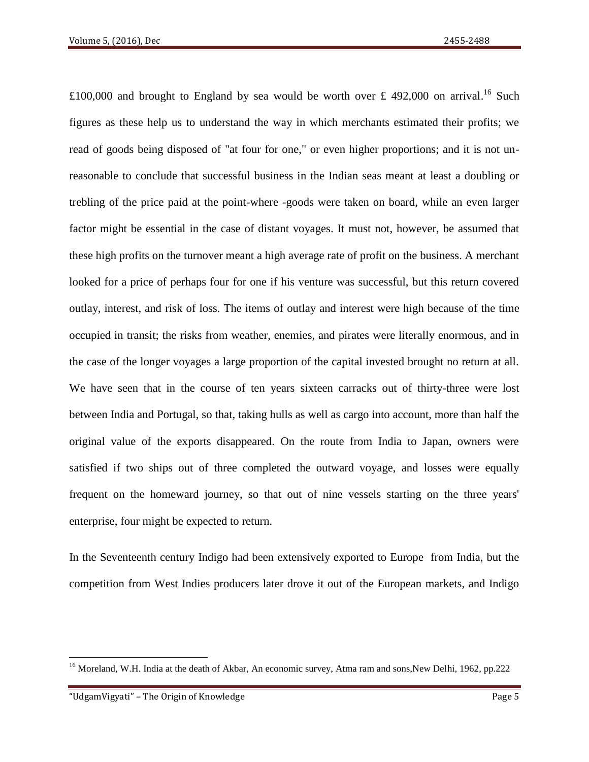£100,000 and brought to England by sea would be worth over £ 492,000 on arrival.<sup>16</sup> Such figures as these help us to understand the way in which merchants estimated their profits; we read of goods being disposed of "at four for one," or even higher proportions; and it is not unreasonable to conclude that successful business in the Indian seas meant at least a doubling or trebling of the price paid at the point-where -goods were taken on board, while an even larger factor might be essential in the case of distant voyages. It must not, however, be assumed that these high profits on the turnover meant a high average rate of profit on the business. A merchant looked for a price of perhaps four for one if his venture was successful, but this return covered outlay, interest, and risk of loss. The items of outlay and interest were high because of the time occupied in transit; the risks from weather, enemies, and pirates were literally enormous, and in the case of the longer voyages a large proportion of the capital invested brought no return at all. We have seen that in the course of ten years sixteen carracks out of thirty-three were lost between India and Portugal, so that, taking hulls as well as cargo into account, more than half the original value of the exports disappeared. On the route from India to Japan, owners were satisfied if two ships out of three completed the outward voyage, and losses were equally frequent on the homeward journey, so that out of nine vessels starting on the three years' enterprise, four might be expected to return.

In the Seventeenth century Indigo had been extensively exported to Europe from India, but the competition from West Indies producers later drove it out of the European markets, and Indigo

l

<sup>&</sup>lt;sup>16</sup> Moreland, W.H. India at the death of Akbar, An economic survey, Atma ram and sons, New Delhi, 1962, pp.222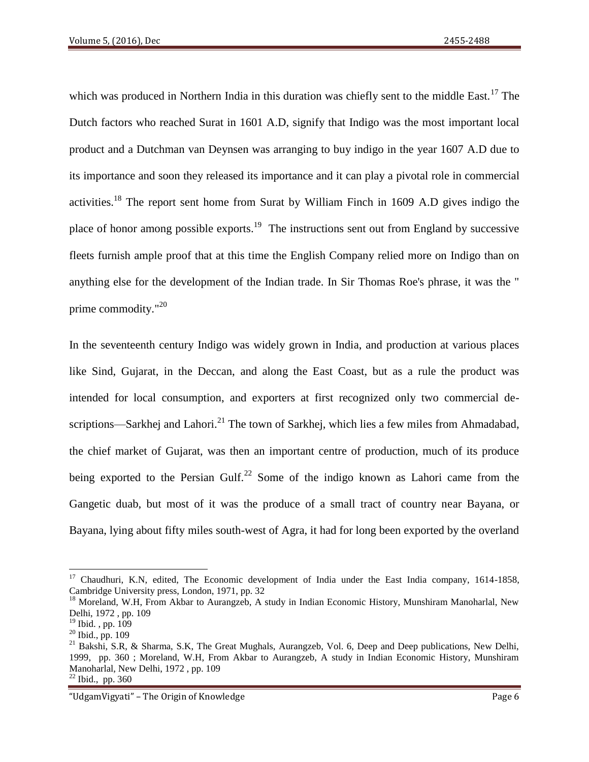which was produced in Northern India in this duration was chiefly sent to the middle East.<sup>17</sup> The Dutch factors who reached Surat in 1601 A.D, signify that Indigo was the most important local product and a Dutchman van Deynsen was arranging to buy indigo in the year 1607 A.D due to its importance and soon they released its importance and it can play a pivotal role in commercial activities.<sup>18</sup> The report sent home from Surat by William Finch in 1609 A.D gives indigo the place of honor among possible exports.<sup>19</sup> The instructions sent out from England by successive fleets furnish ample proof that at this time the English Company relied more on Indigo than on anything else for the development of the Indian trade. In Sir Thomas Roe's phrase, it was the " prime commodity."<sup>20</sup>

In the seventeenth century Indigo was widely grown in India, and production at various places like Sind, Gujarat, in the Deccan, and along the East Coast, but as a rule the product was intended for local consumption, and exporters at first recognized only two commercial descriptions—Sarkhei and Lahori.<sup>21</sup> The town of Sarkhei, which lies a few miles from Ahmadabad, the chief market of Gujarat, was then an important centre of production, much of its produce being exported to the Persian Gulf.<sup>22</sup> Some of the indigo known as Lahori came from the Gangetic duab, but most of it was the produce of a small tract of country near Bayana, or Bayana, lying about fifty miles south-west of Agra, it had for long been exported by the overland

l

<sup>&</sup>lt;sup>17</sup> Chaudhuri, K.N, edited, The Economic development of India under the East India company, 1614-1858, Cambridge University press, London, 1971, pp. 32

<sup>&</sup>lt;sup>18</sup> Moreland, W.H, From Akbar to Aurangzeb, A study in Indian Economic History, Munshiram Manoharlal, New Delhi, 1972 , pp. 109

<sup>&</sup>lt;sup>19</sup> Ibid., pp. 109

 $20$  Ibid., pp. 109

<sup>&</sup>lt;sup>21</sup> Bakshi, S.R, & Sharma, S.K, The Great Mughals, Aurangzeb, Vol. 6, Deep and Deep publications, New Delhi, 1999, pp. 360 ; Moreland, W.H, From Akbar to Aurangzeb, A study in Indian Economic History, Munshiram Manoharlal, New Delhi, 1972 , pp. 109

<sup>22</sup> Ibid., pp. 360

<sup>&</sup>quot;UdgamVigyati" – The Origin of Knowledge Page 6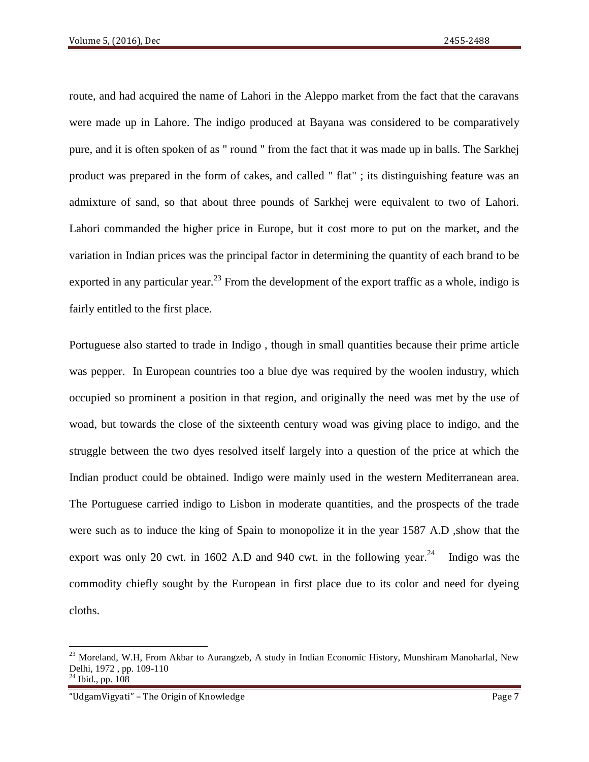route, and had acquired the name of Lahori in the Aleppo market from the fact that the caravans were made up in Lahore. The indigo produced at Bayana was considered to be comparatively pure, and it is often spoken of as " round " from the fact that it was made up in balls. The Sarkhej product was prepared in the form of cakes, and called " flat" ; its distinguishing feature was an admixture of sand, so that about three pounds of Sarkhej were equivalent to two of Lahori. Lahori commanded the higher price in Europe, but it cost more to put on the market, and the variation in Indian prices was the principal factor in determining the quantity of each brand to be exported in any particular year.<sup>23</sup> From the development of the export traffic as a whole, indigo is fairly entitled to the first place.

Portuguese also started to trade in Indigo , though in small quantities because their prime article was pepper. In European countries too a blue dye was required by the woolen industry, which occupied so prominent a position in that region, and originally the need was met by the use of woad, but towards the close of the sixteenth century woad was giving place to indigo, and the struggle between the two dyes resolved itself largely into a question of the price at which the Indian product could be obtained. Indigo were mainly used in the western Mediterranean area. The Portuguese carried indigo to Lisbon in moderate quantities, and the prospects of the trade were such as to induce the king of Spain to monopolize it in the year 1587 A.D ,show that the export was only 20 cwt. in 1602 A.D and 940 cwt. in the following year.<sup>24</sup> Indigo was the commodity chiefly sought by the European in first place due to its color and need for dyeing cloths.

 $^{23}$  Moreland, W.H, From Akbar to Aurangzeb, A study in Indian Economic History, Munshiram Manoharlal, New Delhi, 1972 , pp. 109-110 Ibid., pp. 108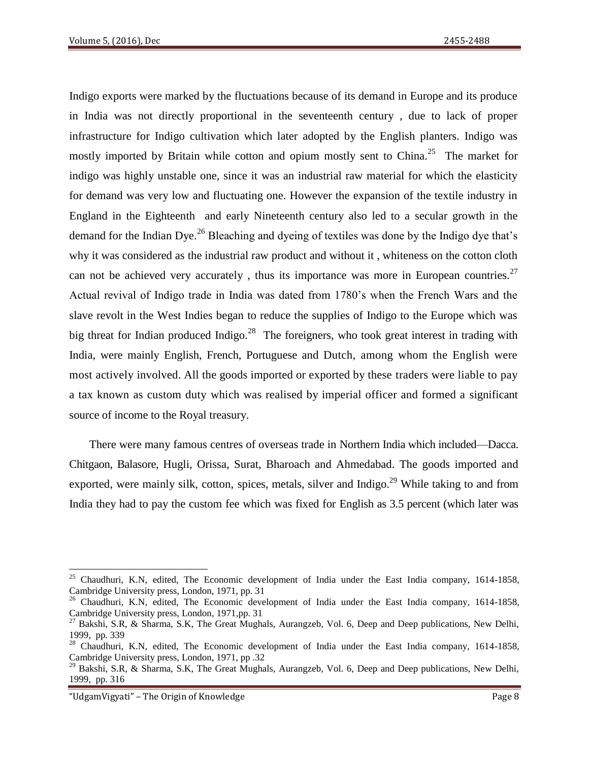Indigo exports were marked by the fluctuations because of its demand in Europe and its produce in India was not directly proportional in the seventeenth century , due to lack of proper infrastructure for Indigo cultivation which later adopted by the English planters. Indigo was mostly imported by Britain while cotton and opium mostly sent to China.<sup>25</sup> The market for indigo was highly unstable one, since it was an industrial raw material for which the elasticity for demand was very low and fluctuating one. However the expansion of the textile industry in England in the Eighteenth and early Nineteenth century also led to a secular growth in the demand for the Indian Dye.<sup>26</sup> Bleaching and dyeing of textiles was done by the Indigo dye that's why it was considered as the industrial raw product and without it , whiteness on the cotton cloth can not be achieved very accurately, thus its importance was more in European countries.<sup>27</sup> Actual revival of Indigo trade in India was dated from 1780's when the French Wars and the slave revolt in the West Indies began to reduce the supplies of Indigo to the Europe which was big threat for Indian produced Indigo.<sup>28</sup> The foreigners, who took great interest in trading with India, were mainly English, French, Portuguese and Dutch, among whom the English were most actively involved. All the goods imported or exported by these traders were liable to pay a tax known as custom duty which was realised by imperial officer and formed a significant source of income to the Royal treasury.

There were many famous centres of overseas trade in Northern India which included—Dacca. Chitgaon, Balasore, Hugli, Orissa, Surat, Bharoach and Ahmedabad. The goods imported and exported, were mainly silk, cotton, spices, metals, silver and Indigo.<sup>29</sup> While taking to and from India they had to pay the custom fee which was fixed for English as 3.5 percent (which later was

l <sup>25</sup> Chaudhuri, K.N, edited, The Economic development of India under the East India company, 1614-1858, Cambridge University press, London, 1971, pp. 31

<sup>&</sup>lt;sup>26</sup> Chaudhuri, K.N, edited, The Economic development of India under the East India company, 1614-1858, Cambridge University press, London, 1971,pp. 31

<sup>&</sup>lt;sup>27</sup> Bakshi, S.R, & Sharma, S.K, The Great Mughals, Aurangzeb, Vol. 6, Deep and Deep publications, New Delhi, 1999, pp. 339

<sup>&</sup>lt;sup>28</sup> Chaudhuri, K.N, edited, The Economic development of India under the East India company, 1614-1858, Cambridge University press, London, 1971, pp .32

<sup>&</sup>lt;sup>29</sup> Bakshi, S.R, & Sharma, S.K, The Great Mughals, Aurangzeb, Vol. 6, Deep and Deep publications, New Delhi, 1999, pp. 316

<sup>&</sup>quot;UdgamVigyati" – The Origin of Knowledge Page 8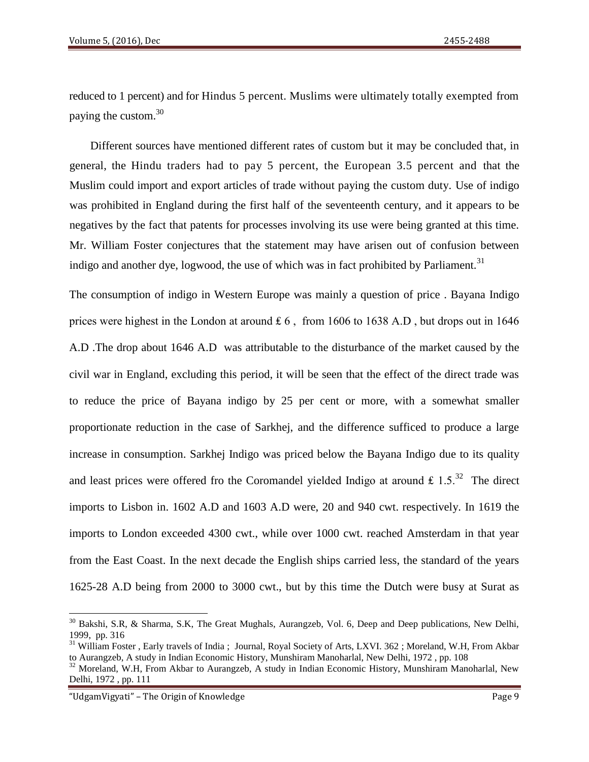reduced to 1 percent) and for Hindus 5 percent. Muslims were ultimately totally exempted from paying the custom.<sup>30</sup>

Different sources have mentioned different rates of custom but it may be concluded that, in general, the Hindu traders had to pay 5 percent, the European 3.5 percent and that the Muslim could import and export articles of trade without paying the custom duty. Use of indigo was prohibited in England during the first half of the seventeenth century, and it appears to be negatives by the fact that patents for processes involving its use were being granted at this time. Mr. William Foster conjectures that the statement may have arisen out of confusion between indigo and another dye, logwood, the use of which was in fact prohibited by Parliament.<sup>31</sup>

The consumption of indigo in Western Europe was mainly a question of price . Bayana Indigo prices were highest in the London at around  $\pounds 6$ , from 1606 to 1638 A.D, but drops out in 1646 A.D .The drop about 1646 A.D was attributable to the disturbance of the market caused by the civil war in England, excluding this period, it will be seen that the effect of the direct trade was to reduce the price of Bayana indigo by 25 per cent or more, with a somewhat smaller proportionate reduction in the case of Sarkhej, and the difference sufficed to produce a large increase in consumption. Sarkhej Indigo was priced below the Bayana Indigo due to its quality and least prices were offered fro the Coromandel yielded Indigo at around  $£ 1.5<sup>32</sup>$  The direct imports to Lisbon in. 1602 A.D and 1603 A.D were, 20 and 940 cwt. respectively. In 1619 the imports to London exceeded 4300 cwt., while over 1000 cwt. reached Amsterdam in that year from the East Coast. In the next decade the English ships carried less, the standard of the years 1625-28 A.D being from 2000 to 3000 cwt., but by this time the Dutch were busy at Surat as

"UdgamVigyati" – The Origin of Knowledge Page 9

 $30$  Bakshi, S.R, & Sharma, S.K, The Great Mughals, Aurangzeb, Vol. 6, Deep and Deep publications, New Delhi, 1999, pp. 316

<sup>&</sup>lt;sup>31</sup> William Foster, Early travels of India; Journal, Royal Society of Arts, LXVI. 362; Moreland, W.H, From Akbar to Aurangzeb, A study in Indian Economic History, Munshiram Manoharlal, New Delhi, 1972 , pp. 108

<sup>&</sup>lt;sup>32</sup> Moreland, W.H, From Akbar to Aurangzeb, A study in Indian Economic History, Munshiram Manoharlal, New Delhi, 1972 , pp. 111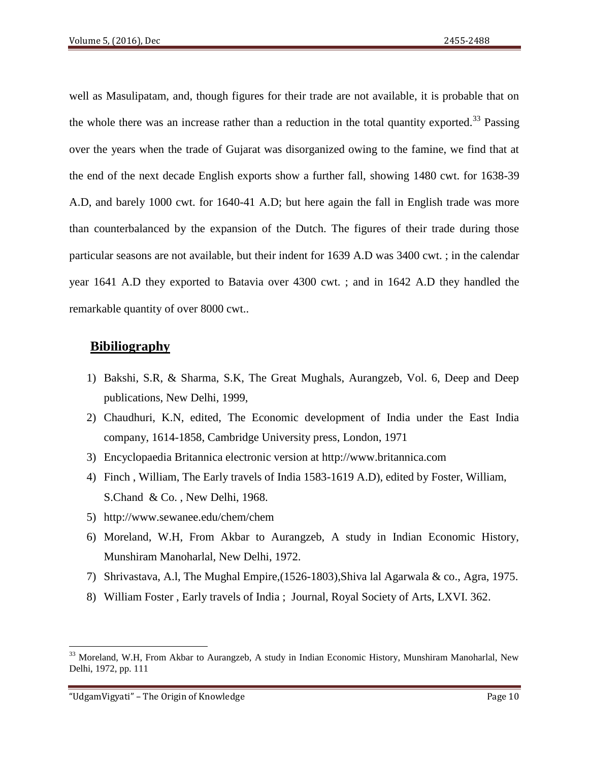well as Masulipatam, and, though figures for their trade are not available, it is probable that on the whole there was an increase rather than a reduction in the total quantity exported.<sup>33</sup> Passing over the years when the trade of Gujarat was disorganized owing to the famine, we find that at the end of the next decade English exports show a further fall, showing 1480 cwt. for 1638-39 A.D, and barely 1000 cwt. for 1640-41 A.D; but here again the fall in English trade was more than counterbalanced by the expansion of the Dutch. The figures of their trade during those particular seasons are not available, but their indent for 1639 A.D was 3400 cwt. ; in the calendar year 1641 A.D they exported to Batavia over 4300 cwt. ; and in 1642 A.D they handled the remarkable quantity of over 8000 cwt..

# **Bibiliography**

- 1) Bakshi, S.R, & Sharma, S.K, The Great Mughals, Aurangzeb, Vol. 6, Deep and Deep publications, New Delhi, 1999,
- 2) Chaudhuri, K.N, edited, The Economic development of India under the East India company, 1614-1858, Cambridge University press, London, 1971
- 3) Encyclopaedia Britannica electronic version at [http://www.britannica.com](http://www.britannica.com/)
- 4) Finch , William, The Early travels of India 1583-1619 A.D), edited by Foster, William, S.Chand & Co. , New Delhi, 1968.
- 5) <http://www.sewanee.edu/chem/chem>
- 6) Moreland, W.H, From Akbar to Aurangzeb, A study in Indian Economic History, Munshiram Manoharlal, New Delhi, 1972.
- 7) Shrivastava, A.l, The Mughal Empire,(1526-1803),Shiva lal Agarwala & co., Agra, 1975.
- 8) William Foster , Early travels of India ; Journal, Royal Society of Arts, LXVI. 362.

 $33$  Moreland, W.H, From Akbar to Aurangzeb, A study in Indian Economic History, Munshiram Manoharlal, New Delhi, 1972, pp. 111